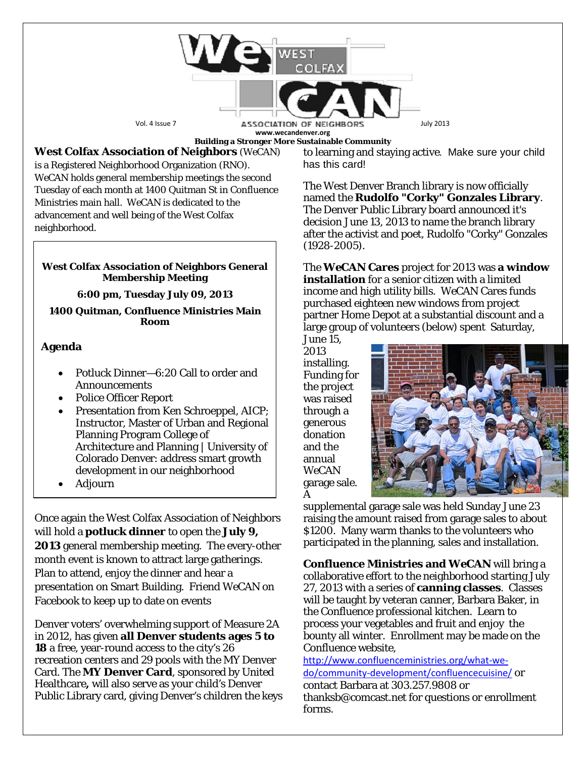

**Building a Stronger More Sustainable Community**

## **West Colfax Association of Neighbors** (*WeCAN*)

is a Registered Neighborhood Organization (RNO). *WeCAN* holds general membership meetings the second Tuesday of each month at 1400 Quitman St in Confluence Ministries main hall. *WeCAN* is dedicated to the advancement and well being of the West Colfax neighborhood.

## **West Colfax Association of Neighbors General Membership Meeting**

**6:00 pm, Tuesday July 09, 2013**

**1400 Quitman, Confluence Ministries Main Room**

## **Agenda**

- Potluck Dinner—6:20 Call to order and Announcements
- Police Officer Report
- Presentation from Ken Schroeppel, AICP; Instructor, Master of Urban and Regional Planning Program College of Architecture and Planning | University of Colorado Denver: address smart growth development in our neighborhood
- Adjourn

Once again the West Colfax Association of Neighbors will hold a **potluck dinner** to open the **July 9, 2013** general membership meeting. The every-other month event is known to attract large gatherings. Plan to attend, enjoy the dinner and hear a presentation on Smart Building. Friend *WeCAN* on Facebook to keep up to date on events

Denver voters' overwhelming support of Measure 2A in 2012, has given **all Denver students ages 5 to 18** a free, year-round access to the city's 26 recreation centers and 29 pools with the MY Denver Card. The **MY Denver Card**, sponsored by [United](http://uhc.com/) [Healthcare](http://uhc.com/)**,** will also serve as your child's Denver Public Library card, giving Denver's children the keys to learning and staying active. Make sure your child has this card!

The West Denver Branch library is now officially named the **Rudolfo "Corky" Gonzales Library**. The Denver Public Library board announced it's decision June 13, 2013 to name the branch library after the activist and poet, Rudolfo "Corky" Gonzales (1928-2005).

The *WeCAN* **Cares** project for 2013 was **a window installation** for a senior citizen with a limited income and high utility bills. *WeCAN* Cares funds purchased eighteen new windows from project partner Home Depot at a substantial discount and a large group of volunteers (below) spent Saturday,

June 15, 2013 installing. Funding for the project was raised through a generous donation and the annual *WeCAN* garage sale. A



supplemental garage sale was held Sunday June 23 raising the amount raised from garage sales to about \$1200. Many warm thanks to the volunteers who participated in the planning, sales and installation.

**Confluence Ministries and** *WeCAN* will bring a collaborative effort to the neighborhood starting July 27, 2013 with a series of **canning classes**. Classes will be taught by veteran canner, Barbara Baker, in the Confluence professional kitchen. Learn to process your vegetables and fruit and enjoy the bounty all winter. Enrollment may be made on the Confluence website,

[http://www.confluenceministries.org/what-we](http://www.confluenceministries.org/what-we-do/community-development/confluencecuisine/)[do/community-development/confluencecuisine/](http://www.confluenceministries.org/what-we-do/community-development/confluencecuisine/) or contact Barbara at 303.257.9808 or thanksb@comcast.net for questions or enrollment forms.